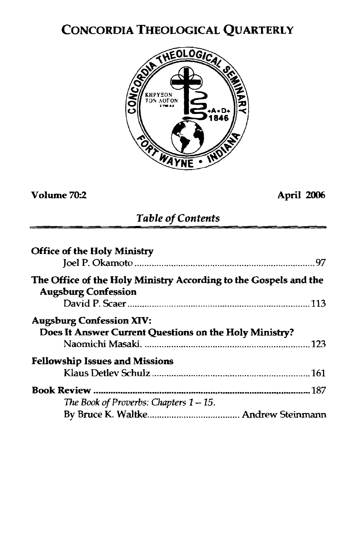# CONCORDIA THEOLOGICAL QUARTERLY



## **Volume m2 April <sup>2006</sup>**

### *Table* **of** *Contents*

| <b>Office of the Holy Ministry</b>                                                             |
|------------------------------------------------------------------------------------------------|
| The Office of the Holy Ministry According to the Gospels and the<br><b>Augsburg Confession</b> |
| <b>Augsburg Confession XIV:</b><br>Does It Answer Current Questions on the Holy Ministry?      |
| <b>Fellowship Issues and Missions</b>                                                          |
| The Book of Proverbs: Chapters $1-15$ .                                                        |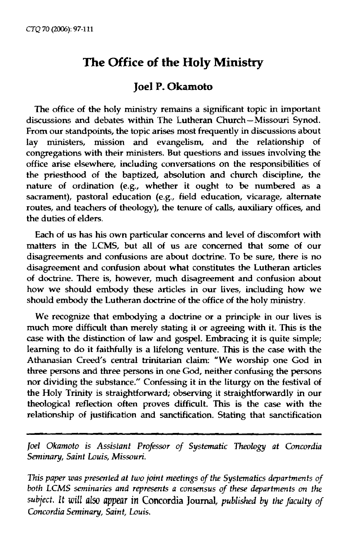# **The Office of the Holy Ministry**

### **Joel P. Okamoto**

The office **of** the holy ministry remains a significant topic in important discussions and debates within The Lutheran Church-Missouri Synod. From our standpoints, the topic arises most frequently in discussions about lay ministers, mission and evangelism, and the relationship of congregations with their ministers. But questions and issues involving the office arise elsewhere, inchding conversations on the responsibilities of the priesthood of the baptized, absolution and church discipline, the nature of ordination (e.g., whether it ought to be numbered as a sacrament), pastoral education (e.g., field education, vicarage, alternate routes, and teachers of theology), the **tenure** of calls, auxiliary offices, and the duties of elders.

Each of us has his own particular concerns **and** level of discomfort with matters in the LCMS, but **all** of us are concerned that some of our disagreements and confusions are about doctrine. To be sure, there is no disagreement and confusion about what constitutes the Lutheran articles of doctrine. There is, however, much disagreement and confusion about how we should embody these articles in our lives, including how we should embody the Lutheran doctrine of the office of the holy ministry.

We recognize that embodying a doctrine or a principle in our lives is much more difficult **than** merely stating it or agreeing with it. This is the case with the distinction of law and gospel. Embracing it is quite simple; learning to do it faithfully is a lifelong venture. This is the case with the Athanasian Creed's central trinitarian claim: "We worship one God in **three** persons and three **persons** in one God, neither confusing the persons nor dividing the substance." Confessing it in the liturgy on the festival of the Holy Trinity is straightforward; observing it straightforwardly in our theological reflection often proves difficult. This is the case with the relationship of justification and sanctification. Stating **that** sanctification

*Joel Okamoto is Assistant Professor of Systematic Theology at Concordia Seminary, Saint Louis, Missouri.* 

This *paper was presented at two joint meetings* of *the Systematics* **deparfmenfs** *of*  both LCMS seminaries and represents a consensus of these departments on the *subject. It* will also appear **in Concordii Journal,** *published by the faculty of Concordia Seminary, Saint, Louis.*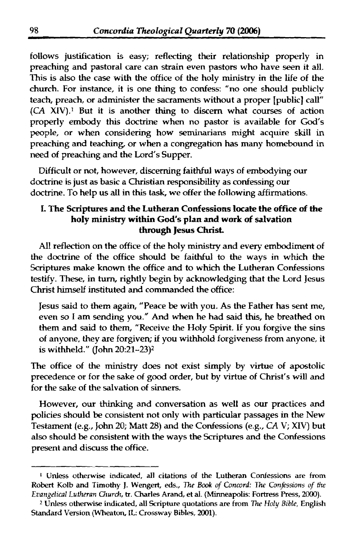follows justification is easy; reflecting their relationship properly in preaching and pastoral care can strain even pastors who have seen it all. This is **also** the case with the office of the holy ministry in the life of the church. For instance, it is one thing to confess: "no one should publicly teach, preach, or administer the sacraments without a proper [public] call" (CA XN).' But it is another thing to discern what courses of action properly embody this doctrine when no pastor is available for God's people, or when considering how seminarians might acquire **skill** in preaching and teaching, or when a congregation has many homebound in need of preaching and the Lord's Supper.

Difficult or not, however, discerning faithful ways of embodying our doctrine is just as basic a Christian responsibility as confessing our doctrine. To help us all in this **task,** we offer the following affirmations.

#### **I. The** Scriptures **and the Lutheran Confessions locate the office of the holy** *ministry* **within God's plan and work of salvation through Jesus Christ.**

**Al!** refledion on the office of the holy ministry and every embodiment of the doctrine of the office should be faithful to the ways in which the Scriptures make known the office and to which the Lutheran Confessions testify. These, in turn, rightly begin by acknowledging that the Lord Jesus Christ **himself** instituted and commanded the office:

Jesus said to them again, "Peace be with you. As the Father has sent me, even so I am sending you." And when he had said this, he breathed on them and said to them, "Receive the Holy Spirit. If you forgive the sins of anyone, they are forgiven; if you withhold forgiveness from anyone, it is withheld." (John 20:21-23)<sup>2</sup>

The office of the **ministry does** not exist simply by virtue of apostolic precedence or for the sake of **good** order, but by virtue of Christ's will and for the sake of the salvation of sinners.

However, our **thinking** and conversation as well as our practices and policies should be consistent not only with particular passages in the New Testament (e.g., John 20; Matt 28) and the Confessions (e.g., CA V; XTV) but also should be consistent with the ways the Scriptures and the Confessions present **and** discuss the office.

**<sup>1</sup>**Unless otherwise indicated, all **citations of** the **Lutheran** Confessions are from **Robert Kolb and Timothy J. Wengert, eds., The Book of Concord: The Confessions of the** *Evangelical Lutheran Church, tr. Charles Arand, et al. (Minneapolis: Fortress Press, 2000).* 

Unless otherwise indicated, all **Scripture quotations are from** *The Holy Bzble,* **English Standard Version** (Wheaton, **IL:** Crossway **Bibles,** 2001).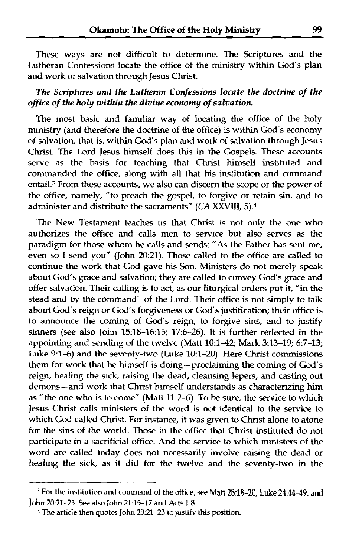These ways are not difficult to determine. The Scriptures and the Lutheran Confessions locate the office of the **ministry** within God's plan **and** work of salvation through Jesus Christ.

#### *The Scriptures and the Lutheran Confessions locate the doctrine of the ofice of the holy within the divine economy of salvation*

The most basic and familiar way of locating the office of the holy ministry (and therefore the doctrine of the office) is within God's economy of salvation, that is, within God's plan and work of salvation through Jesus Christ. The Lord Jesus **himself** does this in the Gospels. These accounts serve as the basis for teaching that Christ himself instituted and commanded the office, along with all that his institution and command entail.<sup>3</sup> From these accounts, we also can discern the scope or the power of the office, namely, "to preach the gospel, to forgive or retain sin, and to administer and distribute the sacraments" (CA XXVIII, 5).<sup>4</sup>

The New Testament teaches us that Christ is not only the one who authorizes the office and calls men to service but **also** serves as the paradigm for those whom he calls and sends: **"As** the Father **has** sent me, even so I send VOU" (John 20:21). Those called to the office are called to continue the work that God gave his Son. Ministers do not merely speak about God's grace and salvation; thev are called to convey God's grace and offer salvation. Their calling is to act, as our liturgical orders put it, "in the stead and by the command" of the Lord. Their office is not simply to talk about God's reign or God's forgiveness or God's justification; their office is to announce the coming of God's reign, to forgive sins, and to justify sinners (see also John 1518-16:15; 17:6-26). It is further reflected in the appointing and sending of the twelve (Matt 10:1-42; Mark 3:13-19; 6:7-13; Luke 9:1-6) and the seventy-two (Luke 10:1-20). Here Christ commissions them for work that he himself is doing- proclaiming the coming of God's reign, healing the sick, raising the dead, cleansing lepers, and casting out demons-and work that Christ himself understands as characterizing him as "the one who is to come" (Matt 11:2-6). To be sure, the service to which Jesus Christ calls ministers of the word is not identical to the service to which God called Christ. For instance, it was given to Christ alone to atone for the sins of the world. Those in the office that Christ instituted do not participate in a sacrificial office. And the service to which ministers of the word are called today does not necessarily involve raising the dead or healing the sick, as it did for the twelve and the seventy-two in the

<sup>&</sup>lt;sup>3</sup> For the institution and command of the office, see Matt 28:18-20, Luke 24:44-49, and **John** 20:21-23. **See also John** 21:15-17 and Acts 1:8.

**<sup>4</sup> The articIe** then quotes **John** 20:21-23 to **justifv** this position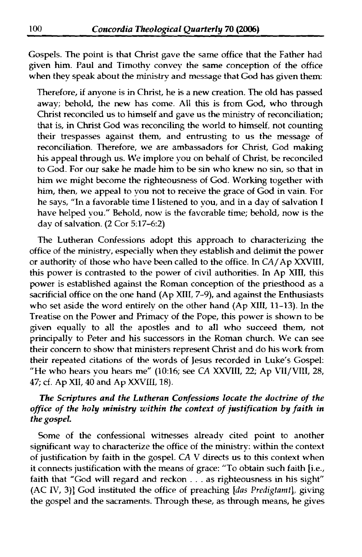Gospels. The point is that Christ gave the same office that the Father had given him. Paul and Timothy convey the same conception of the office when they speak about the ministry and message that God has given them:

Therefore, if anyone is in Christ, he is a new creation. The old has passed away; behold, the new has come. A11 this is from God, who through Christ reconciled us to himself and gave us the ministry of reconciliation; that is, in Christ God was reconciling the world to himself, not counting their trespasses against them, and entrusting to us the message of reconciliation. Therefore, we are ambassadors for Christ, God making his appeal through us. We implore you on behalf of Christ, be reconciled to God. For our sake he made him to be sin who knew no sin, so that in him **we** might become the righteousness of God. M'orking together with him, then, **we** appeal to you not to receive the grace of God in vain. For he says, "In a favorable time **I** listened to you, and in a day of salvation I have helped you." Behold, now is the favorable time; behold, now is the day of salvation. (2 Cor 5:17-6.2)

The Lutheran Confessions adopt this approach to characterizing the office of the ministrv, especially when they establish and delimit the power or authority of those who have been called to the office. In CA/Ap XXVIII, this power is contrasted to the power of civil authorities. In Ap **XIIJ,** this power is established against the Roman conception of the priesthood as a sacrificial office on the one hand (Ap **XIII,** 7-9), and against the Enthusiasts who set aside the word entirely on the other hand (Ap **XIII, 11-13).** In the Treatise on the Power and Primacy of the Pope, this power is shown to be given equally to all the apostles and to all who succeed them, not principally to Peter and his successors in the Roman church. We can see their concern to show that ministers represent Christ and do his **work** from their repeated citations of the words of Jesus recorded in Luke's Gospel: "He who hears you hears me" (10~16; see CA **XXVIII,** *22;* Ap **\7I/V[LI,** 28, 47; 6. Ap **XII,** 40 and Ap XXVIII, 18).

#### **The** *Scriptures and the Lutheran Confessions locate the doctrine of the oflice of the holy rninistry within the context of justification by faith in the gospel.*

Some of the confessional witnesses already cited point to another significant way to characterize the office of the ministry: within the context of justification by faith in the gospel. CA V directs us to this context when it connects justification with the means of grace: "To obtain such faith [i.e., faith that "God will regard and reckon . . . as righteousness in his sight"  $(AC IV, 3)$ ] God instituted the office of preaching [das Predigtamt], giving the gospel and the sacraments. Through these, as through means, he gives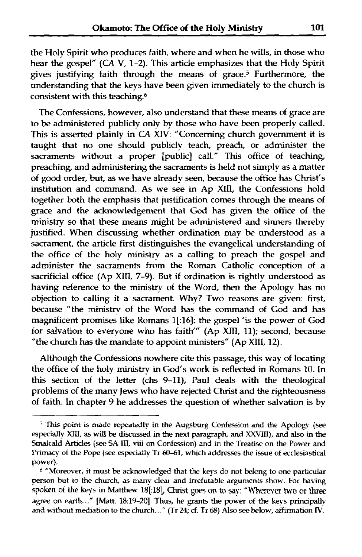the Holy Spirit who produces faith, where and when he **wills,** in those who hear the gospel" **(CA** V, **1-2).** This article emphasizes that the Holy Spirit gives justifying faith through the means of grace.5 Furthermore, the understanding that the keys have been given immediately to the church is consistent with this teaching.6

The Confessions, however, also understand that these means of grace are to be administered publicly only by those who have been properly called. **This** is asserted plainly in CA *MV:* "Concerning church government it is taught that no one should publicly teach, preach, or administer the **sacraments** without a proper [public] call." **This** office of teaching, preaching, and administering the sacraments is held not simply as a matter of good order, but, as we have already seen, because the office has Christ's institution and command. As we see in Ap XIII, the Confessions hold together both the emphasis that justification comes through the means of grace and the acknowledgement that God has given the office of the ministry so that these means might be administered and sinners thereby justified. When discussing whether ordination **may** be understood as a sacrament, the article first distinguishes the evangelical understanding of the office of the holy **ministry** as a calling to preach the gospel **and**  administer the sacraments from the Roman Catholic conception of a sacrificial office (Ap XIII, 7-9). But if ordination is rightly understood as having reference to the rninistrv of the Word, then the Apology **has** no objection to calling it a sacrament. Why? Two reasons are given: first, because "the **ministry** of the Word has the command of God and has magnificent promises like Romans 1[:16]: the gospel 'is the power of God for salvation to everyone who has faith" (Ap XIII, 11); second, because "the church has the mandate to appoint ministers" (Ap XIII, 12).

Although the Confessions nowhere cite this passage, this way of locating the office of the holy ministry in God's work is reflected in Romans 10. In this section of the letter **(chs** 9-11), Paul deals with the theological problems of the many Jews who have rejected Christ and the righteousness of faith. In chapter 9 he addresses the question of whether salvation is by

*<sup>5</sup>***This point is made repeatedly in the Augsburg Confession and the Apology** *(see*  **especialIv** MII, **as** will **be** discnrssed **in the next paragraph, and XXTII), and also in** the **Smalcald Artides** (see **SA ID,** viii **on Confession) and in the Treatise on the Power and Primacy of the Pope (see especialIy Tr 6041,** whch **addresses the issue of ecclesiastical power).** 

**<sup>&</sup>quot;Moreover, it must be acknowledged that the keys do not belong to one particular person but to the church, as many clear and irrefutable arguments show. For having**  $s$ poken of the keys in Matthew 18[:18], Christ goes on to say: "Wherever two or three **agree on** earth..." **[Matt.** 18:19-201. Thus, **he** grants **the power of the keys principally and without mediation to the church..** ." **(Tr 24;** 6. **Tr 68)** Also see **belo~,, affirmation R'.**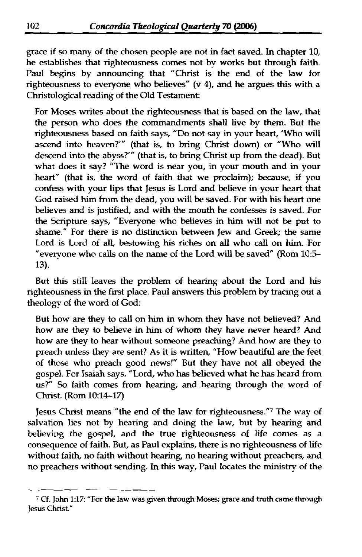grace if so many of the **chosen** people **are** not in fact saved. In chapter 10, he establishes that righteousness comes not **by** works but through faith. Paul begins by announcing that "Christ is the end of the law for righteousness to **everyone** who believes" (v 4), and he argues this with a Christological reading of the Old Testament:

For **Moses** writes about the righteousness that is based on the law, that the person who does the commandments shall live by them. But the righteousness based on faith says, "Do not say in your **heart,** 'Who **will**  ascend into heaven?" (that is, to bring Christ down) or "Who will descend into the abyss?'" (that is, to bring Christ up from the dead). But what does it say? "The word is near you, in your mouth and in your heart" (that is, the word of faith that we **proclaim); because,** if you confess with your lips that Jesus is Lord and believe in your heart that God raised him from the dead, you **will** be saved. For with his heart one believes and is justified, and with the mouth he confesses is saved. For the Scripture says, "Everyone who believes in **him will** not be put to shame." For there is no distinction between Jew and Greek; the same Lord is Lord of **all,** bestowing **his** riches on **all** who call on him. For "everyone who **calls** on the name of the Lord **will** be saved" (Rom **105-**  13).

But this still leaves the problem of hearing about the Lord and his righteousness in the first place. Paul answers this problem by tracing out a theology of the word of God:

But how are they to call on him in whom they have not believed? And how are they to believe in **him** of whom they have never heard? And how are they to hear without someone preaching? And how are they to preach unless they are sent? **As** it is written, "How beautiful are the feet of those who preach good news!" But they have not all obeyed the gospel. For **Isaiah** says, "Lord, who has believed what he has heard from **us?"** So faith comes from hearing and hearing through the word of Christ. (Rom 10:14-17)

Jesus Christ means "the end of the law for righteousness."<sup>7</sup> The way of salvation lies not by hearing and doing **the** law, but by hearing and believing the gospel, and the true righteousness of life comes as a consequence of faith. But, as Paul explains, there is no righteousness of life without faith, no faith without hearing, no hearing without preachers, and no preachers without sending. In this way, Paul locates the **ministry** of the

<sup>;</sup> Cf. John **1:17: "For the law was given through .Moses; grace and truth came through Jesus** Christ."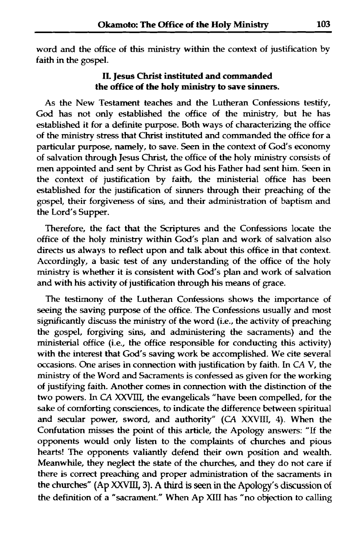word and the office of **this** ministry within the context of justification by faith in the gospel.

#### **I1 Jesus C'hrist instituted and commanded the office of the holy ministry to save sinners.**

As the New Testament teaches and the Lutheran Confessions testify, God has not only established the office of the **ministry,** but he has established it for a definite purpose. Both ways of characterizing the office of the ministry stress that Christ instituted and commanded the office for a particular purpose, namely, to save. **Seen** in the context of God's economy of salvation through Jesus Christ, the office of the holy ministry consists of men appointed and sent **by** Christ as God his Father had sent him. Seen in the context of justification by faith, the ministerial office has been established for the justification of sinners through their preaching of the gospel, their forgiveness of sins, and their administration of baptism and the Lord's Supper.

Therefore, the fact that the Scriptures and the Confessions locate the office of the holy ministry within God's plan and work of salvation also directs us always to reflect upon and talk about this office in that context. Accordingly, a basic test of any understanding of the office of the holy **ministry** is whether it is consistent with God's plan and work of salvation and with his activity of justification through his means of grace.

The testimony of the Lutheran Confessions shows the importance of seeing the saving purpose of the office. The Confessions usually and most significantly discuss the ministry of the word (i.e., the activity of preaching the gospel, forgiving sins, and administering the sacraments) and the ministerial office (i.e., the office responsible for conducting this activity) with the interest that God's **saving** work be accomplished. We cite several occasions. One arises in connection with justification by faith. In CA V, the **ministry** of the Word and Sacraments is confessed as given for the working of justifying faith. Another comes in connection with the distinction of the two powers. In CA XXVIII, the evangelicals "have been compelled, for the sake of comforting consciences, **to** indicate the difference **between** spiritual and secular power, sword, and authority" (CA XXVIII, 4). When the Confutation misses the point of this article, the Apology answers: **"If** the opponents would only listen to the complaints of churches and pious hearts! The opponents valiantly defend their own position and wealth. Meanwhile, they neglect the state of the churches, and they do not care if there is correct preaching and proper administration of the sacraments in the churches" (Ap *XXVIII,* 3). **A third is seen in the** Apology's discussion of the definition of a "sacrament." When Ap **XIIf** has "no objection to calling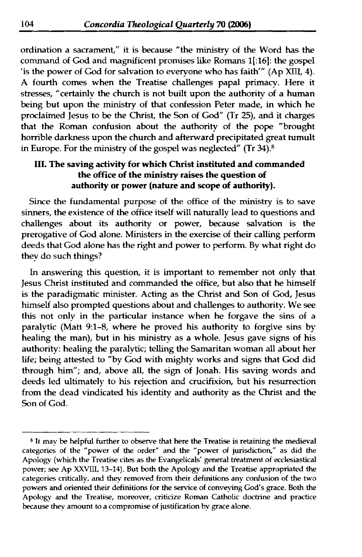ordination a sacrament," it is **because** "the ministry of the Word **has** the command of God and magnificent promises like Romans **1[:16]:** the gospel 'is the power of God for salvation to everyone who has faith'" (Ap XIII, 4). A fourth comes when the Treatise challenges papal primacy. Here it stresses, "certainlv the church is not built upon the authority of a human being but upon the **ministry** of that confession Peter made, in which he proclaimed Jesus to be the Christ, the Son of God" (Tr 25), and it charges that the Roman confusion about the authority of the pope "brought" horrible darkness upon the church and afterward precipitated great tumult in Europe. For the ministry of the gospel was neglected" (Tr  $34$ ).<sup>8</sup>

### **HI. The saving activity for which Christ instituted and commanded the office of the ministry raises the question of authority or power (nature and scope of authority).**

Since the fundamental purpose of the office of the ministry is to save sinners, the existence of the office itself will naturally lead to questions and challenges about its authority or power, because salvation is the prerogative of God alone. Ministers in the exercise of their calling perform deeds that God alone has the right and power to perform By what right do they do such things?

In answering this question, it is important to remember not only that Jesus Christ instituted and commanded the office, but **also** that he himself is the paradigmatic minister. Acting as the Christ and Son of God, Jesus **himself** also prompted questions about and challenges to authority. We see this not only in the particular instance when he forgave the sins of a paralytic (Matt 9:l-8, where he proved his authority to forgive sins by healing the man), but in his ministry as a whole. Jesus gave signs of his authority: healing the paralytic; telling the Samaritan woman all about her life; being attested to "by God with mighty works and signs that God did through him"; and, above all, the sign of Jonah. His saving words and deeds led ultimately to his rejection and crucifixion, but his resurrection from the dead vindicated his identity and authority as the Christ and the Son of God.

- - -

**<sup>8</sup>It may be helpful further to observe that here the Treatise is retaining the medieval categories of the "power of the order" and the "power of jurisdiction," as did the Apolop (which the Treatise cites as the Evangelicals' general treatment of ecclesiastical power;** *see* **Ap XXVIII, 13-14). But both the Apology and the Treatise appropriated the categories critically, and they removed from their definitions any confusion of the two powers and oriented their definitions for the service of conveying** *God's* **grace. Both the Apology and the Treatise, moreover, criticize Roman Catholic doctrine and practice because they amount to a compromise of justification by grace alone.**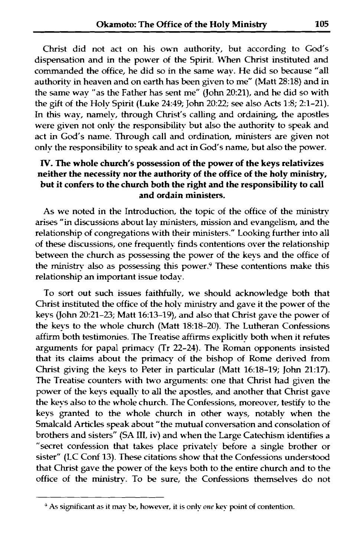Christ did not act on his own authority, but according to God's dispensation and in the power of the Spirit. When Christ instituted and commanded the office, he did so in the same way. He did so because **"all**  authority in heaven and on earth has been given to me" (Matt 28:18) and in the same way "as the Father has sent me" (John 20:21), and he did so with the gift of the Holy Spirit (Luke 24:49; John 20:22; see also Acts 1:8; 2:1-21). In this way, namelv, through Christ's calling and ordaining, the apostles were given not only the responsibility but also the authority to speak and act in God's name. Through call and ordination, ministers are given not only the responsibilitv to speak and act in God's name, but also the power.

#### **TV. The whole church's possession of the power of the keys relativizes neither the necessity nor the authority of the office of the holy ministry, but it confers to the church both the right and the responsibility to call and ordain ministers.**

As we noted in the Introduction, the topic of the office of the **ministry arises** "in discussions about lay ministers, mission and evangelism, and the relationship of congregations with their ministers." Looking further into all of these discussions, one frequently finds contentions over the relationship between the church as possessing the power of the keys and the office of the ministry also as possessing this power.<sup>9</sup> These contentions make this relationship an important issue today.

To sort out such issues faithfully, we should acknowledge both that Christ instituted the office of the holy **ministry** and gave it the power of the kevs (John 20:21-23; Matt 16:13-19), and also that Christ gave the power of **the** keys to the whoIe church (Matt 18:18-20). The Lutheran Confessions affirm both testimonies. The Treatise affirms explicitly both when it refutes arguments for papal primacy (Tr 22-24). The Roman opponents insisted that its claims about the primacy of the bishop of Rome derived from Christ giving the keys to Peter in particular (Matt 16:18-19; John 21:17). The Treatise counters with two arguments: one that Christ had given the power of the keys equally to all the apostles, and another that Christ gave the keys also to the whole church. The Confessions, moreover, testify to the keys granted to the whole church in other ways, notably when the Srnalcald Articles speak about "the mutual conversation and consolation of brothers and sisters" (SA **HI,** iv) and when the Large Catechism identifies a "secret confession that takes place privately before a single brother or sister" (LC Conf 13). These citations show that the Confessions understood that Christ gave the power of the keys both to the entire church and to the office of the ministry. To be sure, the Confessions themselves do not

<sup>&</sup>lt;sup>9</sup> As significant as it may be, however, it is only one key point of contention.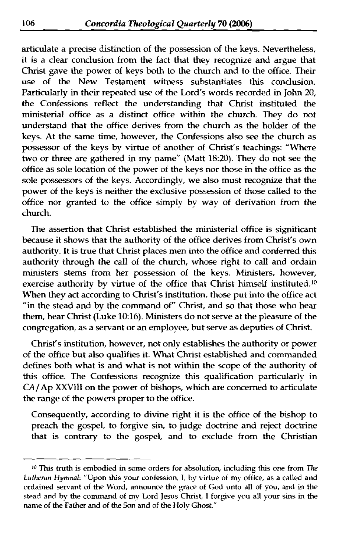articulate a precise distinction of the possession of the keys. Nevertheless, it is a clear conclusion from the fact that they recognize and argue that Christ gave the power of keys both to the church and to the office. Their **use** of the New Testament witness substantiates this conclusion. Particularly in their repeated use of the Lord's words recorded in John 20, the Confessions reflect the understanding that Christ instituted the ministerial office as a distinct office within the church. They do not understand that the office derives from the church as the holder of the keys. At the same time, however, the Confessions also see the church as possessor of the keys by virtue of another of Christ's teachings: "Where two or three are gathered in my name" (Matt 18:20). They do not see the office as sole location of the power of the keys nor those in the office as the sole possessors of the keys. Accordingly, we also must recognize that the power of the keys is neither the exclusive possession of those called to the office nor granted to the office simply by way of derivation from the church.

The assertion that Christ established the ministerial office is significant because it shows that the authority of the office derives from Christ's own authority. It is true that Christ places men into the office and conferred this authority through the **call** of the church, whose right to call and ordain ministers sterns from her possession of the keys. Ministers, however, exercise authority by virtue of the office that Christ himself instituted.<sup>10</sup> When they act according to Christ's institution, those put into the office act "in the stead and by the command of" Christ, and so that those who hear them, hear Christ (Luke 10:16). Ministers do not serve at the pleasure of the congregation, as a servant or an employee, but serve as deputies of Christ.

Christ's institution, however, not only establishes the authority or power of the office but also qualifies it. What Christ established and commanded defines **both** what is and what is not within the scope of the authority of this office. The Confessions recognize this qualification particularly in CA/Ap **XXVIII** on the power of bishops, which are concerned to articulate the range of the powers proper to the office.

Consequently, according to divine right it is the office of the bishop to preach the gospel, to forgive sin, to judge doctrine and reject doctrine that is contrary to the **gospel,** and to exclude from the Christian

<sup>&</sup>lt;sup>10</sup> This truth is embodied in some orders for absolution, including this one from *The* Lutheran Hymnal: "Upon this your confession, I, by virtue of my office, as a called and ordained **servant** of the Word, announce the grace of **God** unto all of you, and in the stead and by the command of my Lord Jesus Christ, **1** forgive vou all your sins in the name of the Father and of the Son and of the Holy Ghost."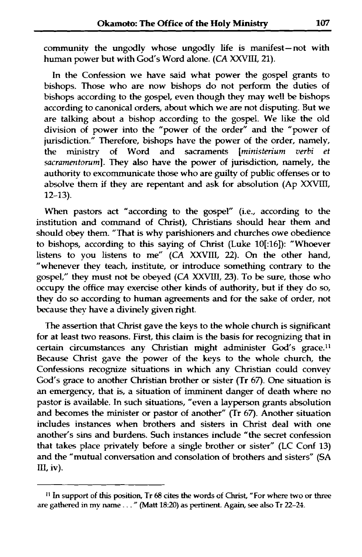community the ungodly whose ungodly life is manifest-not with human poker but with God's Word alone. **(CA XXVIII,** 21).

In the Confession we have said what power the gospel **grants** to bishops. Those who are now bishops do not perform the duties of bishops according to the gospel, even though they may well be bishops according to canonical orders, about which we are not disputing. But we are talking about a bishop according to the gospeI. We like the old division of power into the "power of the order" and the "power of jurisdiction." Therefore, bishops have the power of the order, namely, the ministry of Word and sacraments *Iministerium verbi* et ministry of Word and sacraments *[ministerium verbi* sacramentorum]. They also have the power of jurisdiction, namely, the authority to excommunicate those who are guilty of public offenses or to absolve them if they are repentant and ask for absolution (Ap XXVIII, 12-13).

When pastors act "according to the gospel" (i.e., according to the institution and command of Christ), Christians should hear them and should obey them. "That is why parishioners and churches owe obedience to bishops, according to this saying of Christ (Luke 10[:16]): "Whoever listens to you listens to me" (CA XXVIII, 22). On the other hand, "whenever they teach, institute, or introduce something contrary to the gospel," they must not be obeyed (CA XXVIII, 23). To be sure, those who occupy the office may exercise other kinds of authority, but if they do so, they do so according to human agreements and for the sake of order, not because they have a divinely given right.

The assertion that **Christ** gave the keys to the whole church is significant for at least two reasons. First, this claim is the basis for recognizing that in certain circumstances any Christian might administer God's grace.<sup>11</sup> Because Christ gave the power of the keys to the whole church, the Confessions recognize situations in which any Christian could convey *God's* grace to another Christian brother or sister (Tr 67). One situation is an emergency, that is, a situation of imminent danger of death where no pastor is available. In such situations, "even a layperson grants absolution and becomes the minister or pastor of another" (Tr 67). Another situation includes instances when brothers and sisters in Christ deal with one another's sins and burdens. Such instances include "the secret confession that takes place privately before a single brother or sister" (LC Conf 13) and the "mutual conversation and consolation of brothers and sisters" (SA III, iv).

**fi In support of this position, Tr 68 cites the words of** Christ, **"For where two or three are gathered in my name** . . . " **(Matt 1820) as pertinent. Again,** *see* **also Tr 22-24.**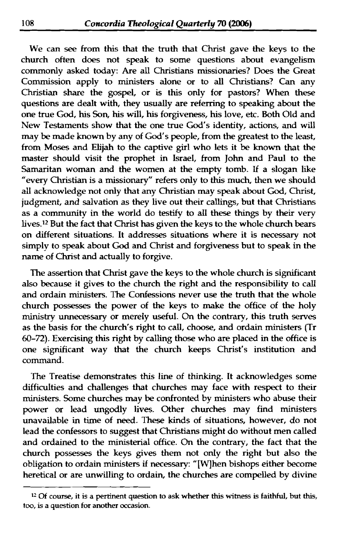We can see from this that the truth that Christ gave the keys to the church often does not speak to some questions about evangelism commonly asked today: Are **all Christians** missionaries? Does the Great Commission apply to ministers alone or to all Christians? **Can any**  Christian share the gospel, or is this only for pastors? When these questions are dealt with, they usually are referring to speaking about the one true God, his Son, his will, his forgiveness, his love, etc. Both Old and New Testaments show that **the** one true God's identity, actions, and will may be made known by any of God's people, from the greatest to the least, from Moses and **Elijah** to the captive girl who lets it be known that the master should visit the prophet in Israel, from John and Paul to the **Samaritan** woman and the women at the empty tomb. If a slogan like "every Christian is a missionary" refers only to this much, then we should all acknowledge not only that any Christian may speak about God, Christ, judgment, and salvation as they live out their callings, but that **Christians**  as a community in the world do testify to all these **things** by their very lives.<sup>12</sup> But the fact that Christ has given the keys to the whole church bears on different situations. It addresses situations where it is necessary not simply to speak about God and Christ and forgiveness but to speak in the name of Christ and actually to forgive.

The assertion that Christ gave the keys to the whole church is sigruficant also because it gives to the church the right and the responsibility to call and ordain ministers. The Confessions never **use** the truth that the whole church possesses **the** power of the keys to make the office of the holy **ministry** unnecessary or merely useful. **On** the contrary, **this** truth serves as the basis for the church's right to call, choose, and ordain ministers (Tr 60-72). Exercising this right by calling those who are placed in the office is one sigruficant way that the church keeps Christ's institution and command.

The Treatise demonstrates this line of thinking. It acknowledges some difficulties and challenges that churches may face with **respect** to their ministers. Some churches may be confronted by ministers who abuse their power or lead ungodly lives. Other churches may find ministers unavailable in time of need. These **kinds** of situations, however, do not lead the confessors to suggest that Christians might do without men called and ordained to the ministerial office. **On** the contrary, the fact that the church possesses the keys gives them not only the right but also the obligation to ordain ministers if necessary: "[W]hen bishops either become heretical or are unwilling to ordain, the churches are compelled by divine - -

**<sup>12</sup>Of course, it is a pertinent question to ask whether this witness is faithful, but this, too, is a question for another occasion.**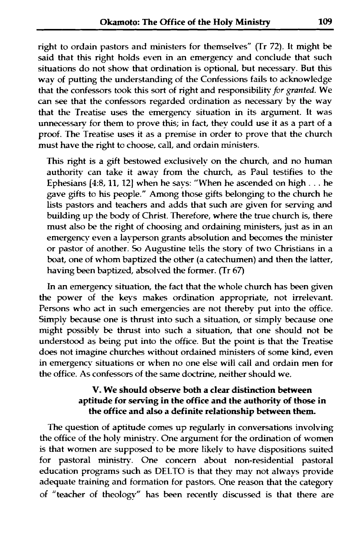right to ordain pastors and ministers for themselves" (Tr 72). It might be said that this right holds even in an emergency and conclude that such situations do not show that ordination is optional, but necessary. But this way of putting the understanding of the Confessions fails to acknowledge that the confessors took this sort of right and responsibility for granted. We can see that the confessors regarded ordination as necessary **by** the way that the Treatise uses the emergency situation in its argument. It was unnecessary for them to prove this; in fact, they could use it as a **part** of a proof. The Treatise uses it as a premise in order to prove that the church must have the right to choose, call, and ordain ministers.

This right is a gift bestowed exclusively on the church, and no human authority can take it away from the church, as Paul testifies to the Ephesians **[4:8,11,** 121 when he says: "When he ascended on high . . . he gave gdts to his people." Among those **gifts** belonging to the church he lists pastors and teachers and adds that such are given for serving and building up the body of Christ. Therefore, where the true church is, there must also be the right of choosing and ordaining ministers, just as in an emergency even a layperson grants absolution and becomes the minister or pastor of another. So Augustine tells the story of two Christians in a boat, one of whom baptized the other (a catechumen) and then the latter, having been baptized, absolved the former. (Tr **67j** 

In an emergency situation, the fact that the whole church has been given the power of the keys makes ordination appropriate, not irrelevant. Persons who act in such emergencies are not thereby put into the office. Simply because one is thrust into such a situation, or simply because one might possibly be thrust into such a situation, that one should not be understood as being put into the office. But the point is that the Treatise does not imagine churches without ordained ministers of some kind, even in emergency situations or when no one else will call and ordain men for the office. **As** confessors of the same doctrine, neither should we.

#### **V. We should observe** bath **a clear distinction between aptitude for serving in the office and the authority of those in**  the office and also a definite relationship between them.

The question of aptitude comes up regularly in conversations involving the office of the holy ministrv. One argument for the ordination of women is that women are supposed to be more likely to have dispositions suited for pastoral ministry. One concern about non-residential pastoral education programs such as DELTO is that they may not always provide adequate training and formation for pastors. One reason that the categorv of "teacher of theologv" has been recently discussed is that there are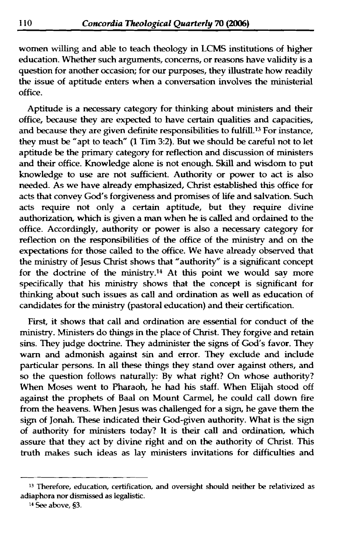women willing and able to teach theology in LCMS institutions of higher education. Whether such arguments, concerns, or reasons have validity is a question for another occasion; for our purposes, they illustrate how readily the issue of aptitude enters when a conversation involves the ministerial office.

Aptitude is a necessary category for thinking about ministers and their office, because they are expected to have certain qualities and capacities, and because they are given definite responsibilities to fulfill.<sup>13</sup> For instance, they must be "apt to teach" (1 Tim 32). But we should be careful not to let aptitude be the **primary** category for reflection and discussion of ministers and their office. Knowledge alone is not enough **Skill** and wisdom to put knowledge to use are not sufficient. Authority or power to act is also needed. As we have already emphasized, Christ established this office for acts that convey God's forgiveness and promises of life and salvation. Such acts require not only a certain aptitude, but they require divine authorization, which is given a **man** when he is called and ordained to the office. Accordingly, authority or power is also a necessary category for reflection on the responsibilities of the office of the **ministry** and on the expectations for those called to the office. We have already observed that the ministry of Jesus Christ shows that "authority" is a significant concept for the doctrine of the ministry.<sup>14</sup> At this point we would say more specifically that his **ministry** shows that the concept is sigruficant for **thinking** about such issues as call and ordination **as** well as education of candidates for the ministry (pastoral education) and their certification.

First, it shows that call and ordination are essential for conduct of the ministry. Ministers do **things** in the place of Christ. They forgive and retain sins. They judge doctrine. They administer the signs **of** God's favor. They warn and admonish against sin and error. They exclude and include particular persons. In all these things they stand over against others, and so the question follows naturally: By what right? On whose authority? When Moses went to Pharaoh, he had his staff. When **Elijah** stood off against the prophets of Baal on Mount Carmel, he could call down fire from the heavens. When Jesus was challenged for a sign, he gave them the sign of Jonah. These indicated their God-given authority. What is the sign of authority for ministers today? It is their call and ordination, which assure that they act by divine right and on the authority of Christ. This truth makes such ideas as lay ministers invitations for difficulties and

**<sup>13</sup> Therefore, education, certification, and oversight should neither be relativized as adiaphora nor dismissed as legalistic.** 

**<sup>14</sup>** See **above, 53.**